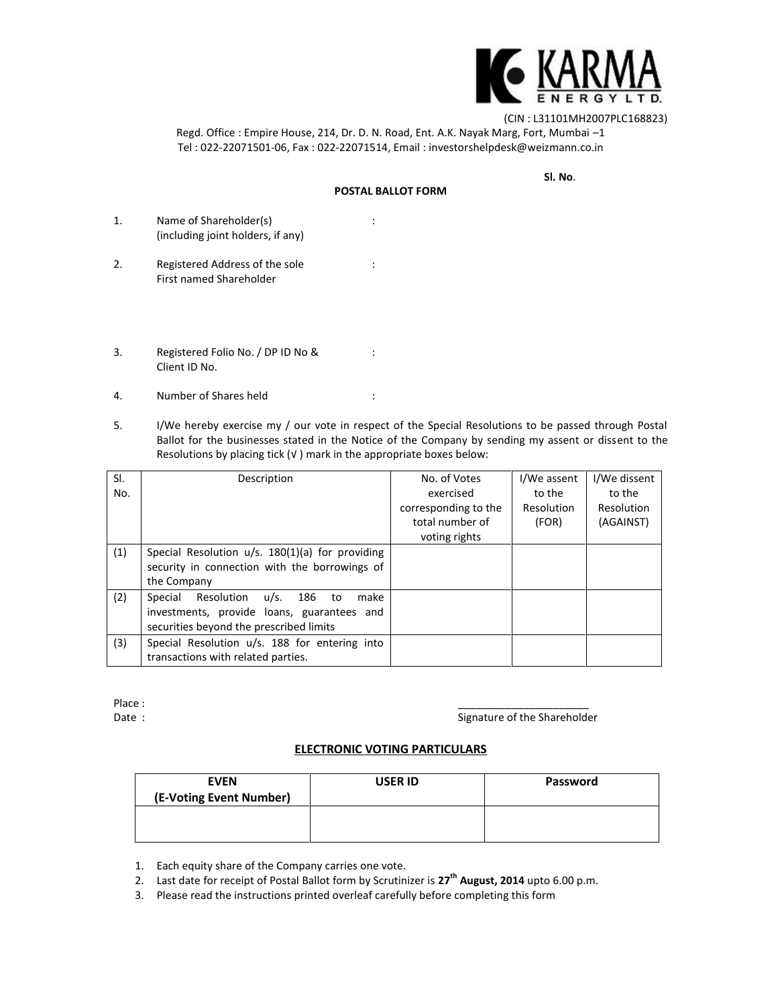

(CIN : L31101MH2007PLC168823)

Regd. Office : Empire House, 214, Dr. D. N. Road, Ent. A.K. Nayak Marg, Fort, Mumbai –1 Tel : 022-22071501-06, Fax : 022-22071514, Email : investorshelpdesk@weizmann.co.in

**Sl. No**.

## **POSTAL BALLOT FORM**

- 1. Name of Shareholder(s) : (including joint holders, if any)
- 2. Registered Address of the sole : First named Shareholder
- 3. Registered Folio No. / DP ID No & : Client ID No.
- 4. Number of Shares held :
- 5. I/We hereby exercise my / our vote in respect of the Special Resolutions to be passed through Postal Ballot for the businesses stated in the Notice of the Company by sending my assent or dissent to the Resolutions by placing tick (√ ) mark in the appropriate boxes below:

| SI.<br>No. | Description                                                                                                                        | No. of Votes<br>exercised<br>corresponding to the<br>total number of<br>voting rights | I/We assent<br>to the<br>Resolution<br>(FOR) | I/We dissent<br>to the<br>Resolution<br>(AGAINST) |
|------------|------------------------------------------------------------------------------------------------------------------------------------|---------------------------------------------------------------------------------------|----------------------------------------------|---------------------------------------------------|
| (1)        | Special Resolution $u/s$ . 180(1)(a) for providing<br>security in connection with the borrowings of<br>the Company                 |                                                                                       |                                              |                                                   |
| (2)        | Special<br>Resolution u/s. 186 to<br>make<br>investments, provide loans, guarantees and<br>securities beyond the prescribed limits |                                                                                       |                                              |                                                   |
| (3)        | Special Resolution u/s. 188 for entering into<br>transactions with related parties.                                                |                                                                                       |                                              |                                                   |

Place : \_\_\_\_\_\_\_\_\_\_\_\_\_\_\_\_\_\_\_\_\_\_

Date : Signature of the Shareholder Contact State Shareholder

# **ELECTRONIC VOTING PARTICULARS**

| <b>EVEN</b><br>(E-Voting Event Number) | <b>USER ID</b> | Password |
|----------------------------------------|----------------|----------|
|                                        |                |          |

- 1. Each equity share of the Company carries one vote.
- 2. Last date for receipt of Postal Ballot form by Scrutinizer is **27th August, 2014** upto 6.00 p.m.
- 3. Please read the instructions printed overleaf carefully before completing this form